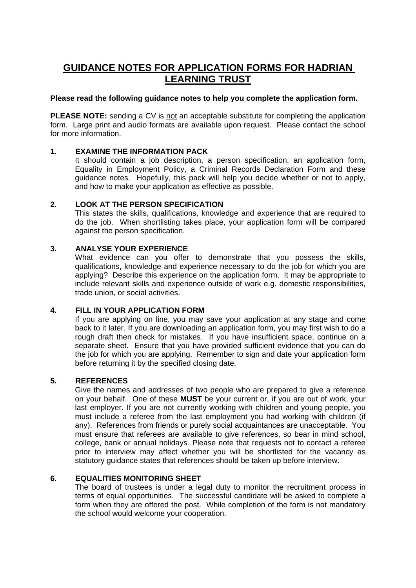# **GUIDANCE NOTES FOR APPLICATION FORMS FOR HADRIAN LEARNING TRUST**

## **Please read the following guidance notes to help you complete the application form.**

**PLEASE NOTE:** sending a CV is not an acceptable substitute for completing the application form. Large print and audio formats are available upon request. Please contact the school for more information.

# **1. EXAMINE THE INFORMATION PACK**

It should contain a job description, a person specification, an application form, Equality in Employment Policy, a Criminal Records Declaration Form and these guidance notes. Hopefully, this pack will help you decide whether or not to apply, and how to make your application as effective as possible.

## **2. LOOK AT THE PERSON SPECIFICATION**

This states the skills, qualifications, knowledge and experience that are required to do the job. When shortlisting takes place, your application form will be compared against the person specification.

## **3. ANALYSE YOUR EXPERIENCE**

What evidence can you offer to demonstrate that you possess the skills, qualifications, knowledge and experience necessary to do the job for which you are applying? Describe this experience on the application form. It may be appropriate to include relevant skills and experience outside of work e.g. domestic responsibilities, trade union, or social activities.

# **4. FILL IN YOUR APPLICATION FORM**

If you are applying on line, you may save your application at any stage and come back to it later. If you are downloading an application form, you may first wish to do a rough draft then check for mistakes. If you have insufficient space, continue on a separate sheet. Ensure that you have provided sufficient evidence that you can do the job for which you are applying. Remember to sign and date your application form before returning it by the specified closing date.

#### **5. REFERENCES**

Give the names and addresses of two people who are prepared to give a reference on your behalf. One of these **MUST** be your current or, if you are out of work, your last employer. If you are not currently working with children and young people, you must include a referee from the last employment you had working with children (if any). References from friends or purely social acquaintances are unacceptable. You must ensure that referees are available to give references, so bear in mind school, college, bank or annual holidays. Please note that requests not to contact a referee prior to interview may affect whether you will be shortlisted for the vacancy as statutory guidance states that references should be taken up before interview.

# **6. EQUALITIES MONITORING SHEET**

The board of trustees is under a legal duty to monitor the recruitment process in terms of equal opportunities. The successful candidate will be asked to complete a form when they are offered the post. While completion of the form is not mandatory the school would welcome your cooperation.